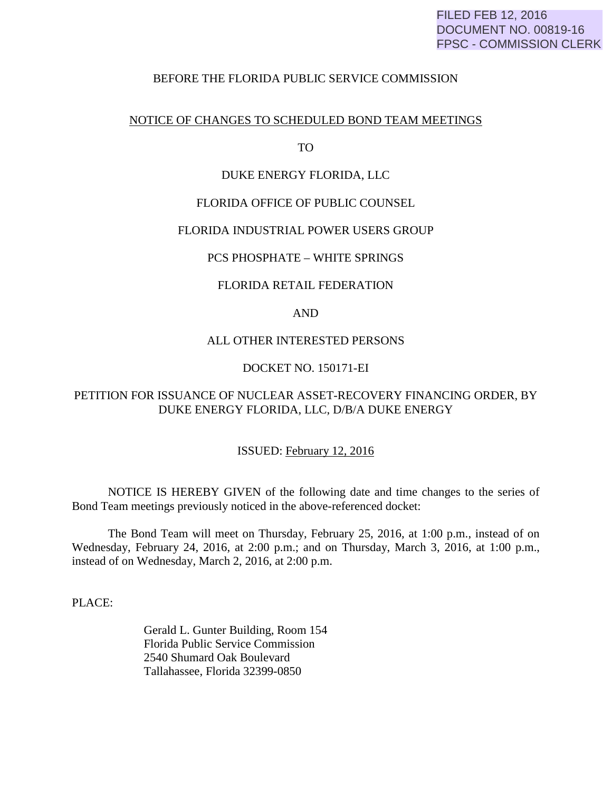## FILED FEB 12, 2016 DOCUMENT NO. 00819-16 FPSC - COMMISSION CLERK

## BEFORE THE FLORIDA PUBLIC SERVICE COMMISSION

### NOTICE OF CHANGES TO SCHEDULED BOND TEAM MEETINGS

TO

#### DUKE ENERGY FLORIDA, LLC

### FLORIDA OFFICE OF PUBLIC COUNSEL

#### FLORIDA INDUSTRIAL POWER USERS GROUP

## PCS PHOSPHATE – WHITE SPRINGS

#### FLORIDA RETAIL FEDERATION

## AND

#### ALL OTHER INTERESTED PERSONS

## DOCKET NO. 150171-EI

## PETITION FOR ISSUANCE OF NUCLEAR ASSET-RECOVERY FINANCING ORDER, BY DUKE ENERGY FLORIDA, LLC, D/B/A DUKE ENERGY

#### ISSUED: February 12, 2016

 NOTICE IS HEREBY GIVEN of the following date and time changes to the series of Bond Team meetings previously noticed in the above-referenced docket:

 The Bond Team will meet on Thursday, February 25, 2016, at 1:00 p.m., instead of on Wednesday, February 24, 2016, at 2:00 p.m.; and on Thursday, March 3, 2016, at 1:00 p.m., instead of on Wednesday, March 2, 2016, at 2:00 p.m.

PLACE:

 Gerald L. Gunter Building, Room 154 Florida Public Service Commission 2540 Shumard Oak Boulevard Tallahassee, Florida 32399-0850